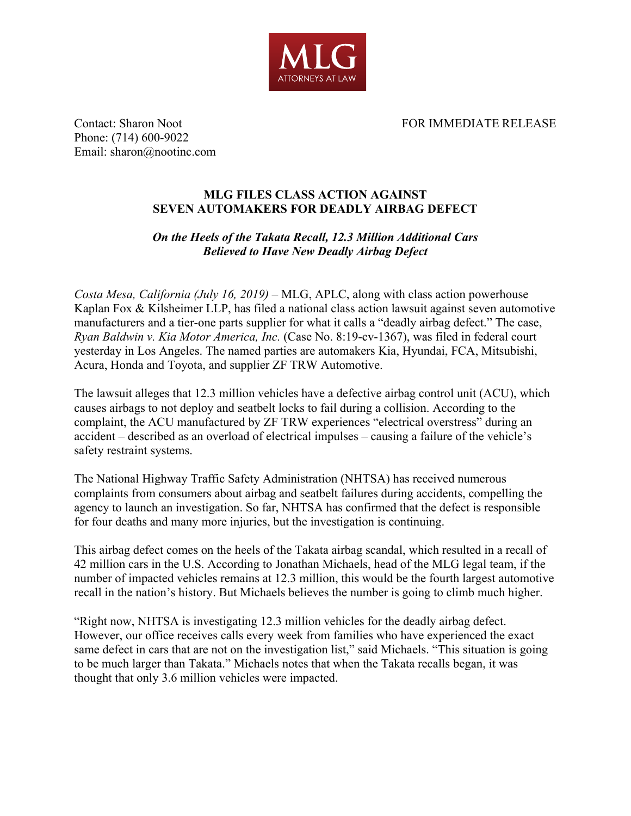

Contact: Sharon Noot **FOR IMMEDIATE RELEASE** 

Phone: (714) 600-9022 Email: sharon@nootinc.com

## **MLG FILES CLASS ACTION AGAINST SEVEN AUTOMAKERS FOR DEADLY AIRBAG DEFECT**

## *On the Heels of the Takata Recall, 12.3 Million Additional Cars Believed to Have New Deadly Airbag Defect*

*Costa Mesa, California (July 16, 2019)* – MLG, APLC, along with class action powerhouse Kaplan Fox & Kilsheimer LLP, has filed a national class action lawsuit against seven automotive manufacturers and a tier-one parts supplier for what it calls a "deadly airbag defect." The case, *Ryan Baldwin v. Kia Motor America, Inc.* (Case No. 8:19-cv-1367), was filed in federal court yesterday in Los Angeles. The named parties are automakers Kia, Hyundai, FCA, Mitsubishi, Acura, Honda and Toyota, and supplier ZF TRW Automotive.

The lawsuit alleges that 12.3 million vehicles have a defective airbag control unit (ACU), which causes airbags to not deploy and seatbelt locks to fail during a collision. According to the complaint, the ACU manufactured by ZF TRW experiences "electrical overstress" during an accident – described as an overload of electrical impulses – causing a failure of the vehicle's safety restraint systems.

The National Highway Traffic Safety Administration (NHTSA) has received numerous complaints from consumers about airbag and seatbelt failures during accidents, compelling the agency to launch an investigation. So far, NHTSA has confirmed that the defect is responsible for four deaths and many more injuries, but the investigation is continuing.

This airbag defect comes on the heels of the Takata airbag scandal, which resulted in a recall of 42 million cars in the U.S. According to Jonathan Michaels, head of the MLG legal team, if the number of impacted vehicles remains at 12.3 million, this would be the fourth largest automotive recall in the nation's history. But Michaels believes the number is going to climb much higher.

"Right now, NHTSA is investigating 12.3 million vehicles for the deadly airbag defect. However, our office receives calls every week from families who have experienced the exact same defect in cars that are not on the investigation list," said Michaels. "This situation is going to be much larger than Takata." Michaels notes that when the Takata recalls began, it was thought that only 3.6 million vehicles were impacted.